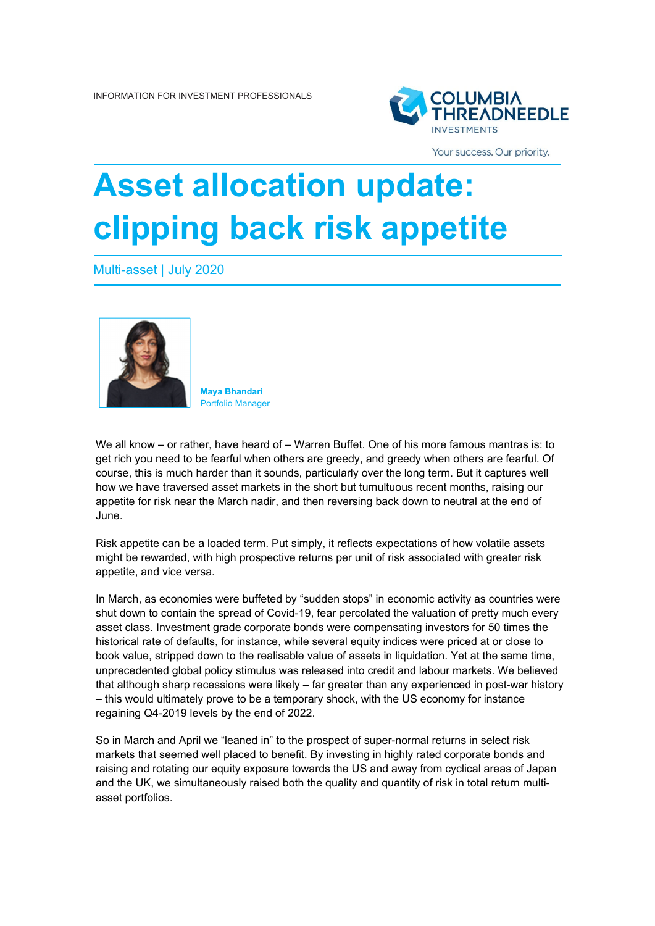

Your success. Our priority.

## **Asset allocation update: clipping back risk appetite**

Multi-asset | July 2020



**Maya Bhandari**  Portfolio Manager

We all know – or rather, have heard of – Warren Buffet. One of his more famous mantras is: to get rich you need to be fearful when others are greedy, and greedy when others are fearful. Of course, this is much harder than it sounds, particularly over the long term. But it captures well how we have traversed asset markets in the short but tumultuous recent months, raising our appetite for risk near the March nadir, and then reversing back down to neutral at the end of June.

Risk appetite can be a loaded term. Put simply, it reflects expectations of how volatile assets might be rewarded, with high prospective returns per unit of risk associated with greater risk appetite, and vice versa.

In March, as economies were buffeted by "sudden stops" in economic activity as countries were shut down to contain the spread of Covid-19, fear percolated the valuation of pretty much every asset class. Investment grade corporate bonds were compensating investors for 50 times the historical rate of defaults, for instance, while several equity indices were priced at or close to book value, stripped down to the realisable value of assets in liquidation. Yet at the same time, unprecedented global policy stimulus was released into credit and labour markets. We believed that although sharp recessions were likely – far greater than any experienced in post-war history – this would ultimately prove to be a temporary shock, with the US economy for instance regaining Q4-2019 levels by the end of 2022.

So in March and April we "leaned in" to the prospect of super-normal returns in select risk markets that seemed well placed to benefit. By investing in highly rated corporate bonds and raising and rotating our equity exposure towards the US and away from cyclical areas of Japan and the UK, we simultaneously raised both the quality and quantity of risk in total return multiasset portfolios.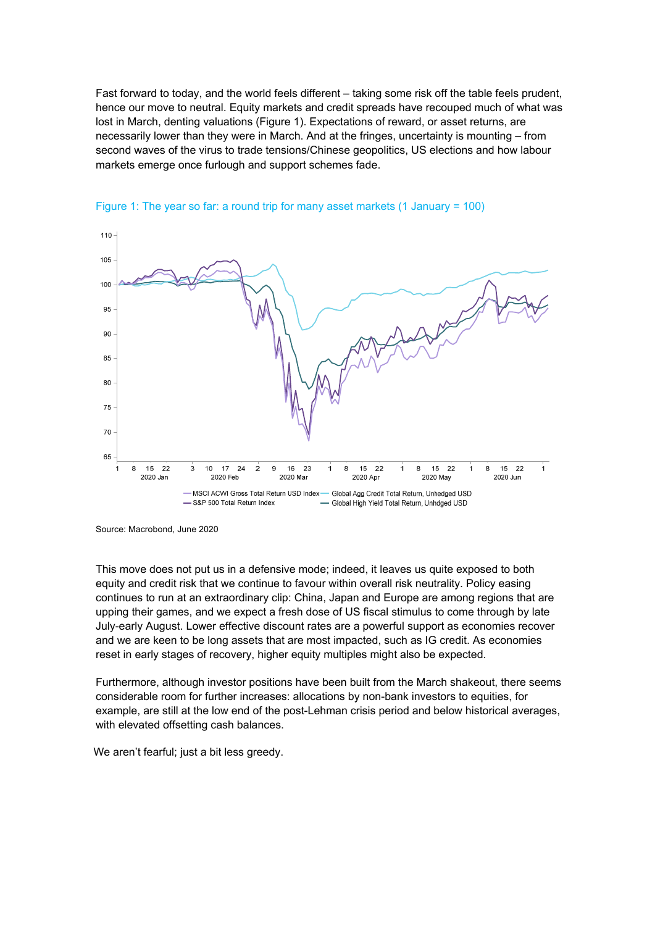Fast forward to today, and the world feels different – taking some risk off the table feels prudent, hence our move to neutral. Equity markets and credit spreads have recouped much of what was lost in March, denting valuations (Figure 1). Expectations of reward, or asset returns, are necessarily lower than they were in March. And at the fringes, uncertainty is mounting – from second waves of the virus to trade tensions/Chinese geopolitics, US elections and how labour markets emerge once furlough and support schemes fade.





This move does not put us in a defensive mode; indeed, it leaves us quite exposed to both equity and credit risk that we continue to favour within overall risk neutrality. Policy easing continues to run at an extraordinary clip: China, Japan and Europe are among regions that are upping their games, and we expect a fresh dose of US fiscal stimulus to come through by late July-early August. Lower effective discount rates are a powerful support as economies recover and we are keen to be long assets that are most impacted, such as IG credit. As economies reset in early stages of recovery, higher equity multiples might also be expected.

Furthermore, although investor positions have been built from the March shakeout, there seems considerable room for further increases: allocations by non-bank investors to equities, for example, are still at the low end of the post-Lehman crisis period and below historical averages, with elevated offsetting cash balances.

We aren't fearful; just a bit less greedy.

Source: Macrobond, June 2020